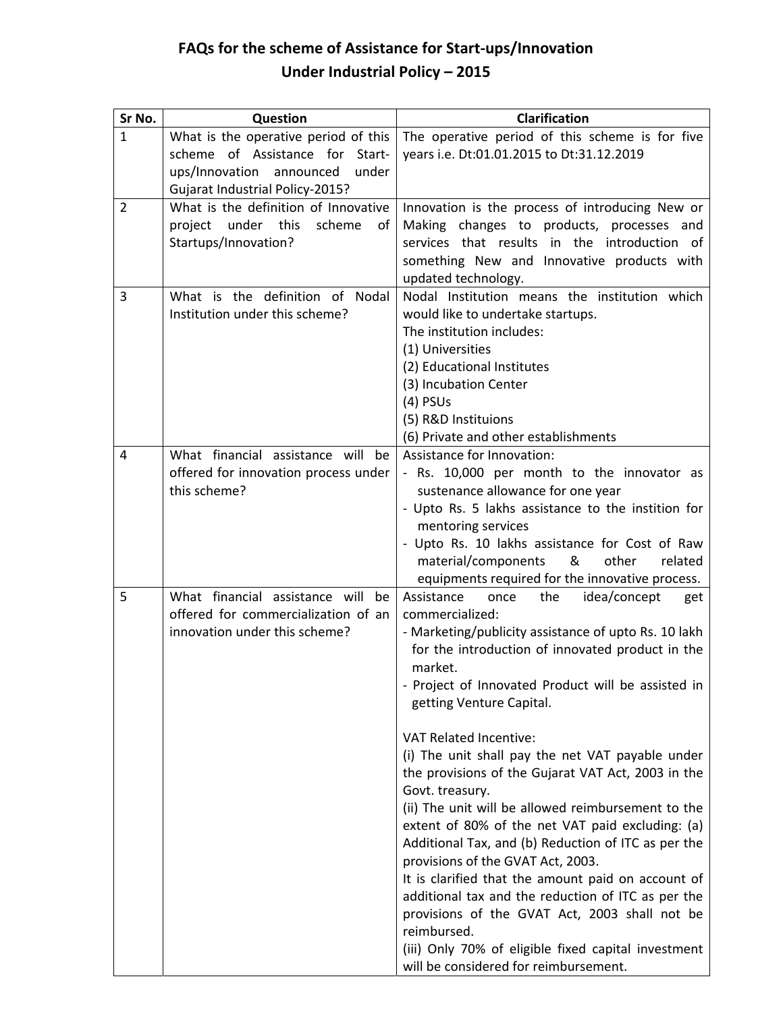## **FAQs for the scheme of Assistance for Start-ups/Innovation Under Industrial Policy – 2015**

| Sr No.       | Question                             | <b>Clarification</b>                                                                            |
|--------------|--------------------------------------|-------------------------------------------------------------------------------------------------|
| $\mathbf{1}$ | What is the operative period of this | The operative period of this scheme is for five                                                 |
|              | scheme of Assistance for Start-      | years i.e. Dt:01.01.2015 to Dt:31.12.2019                                                       |
|              | ups/Innovation announced<br>under    |                                                                                                 |
|              | Gujarat Industrial Policy-2015?      |                                                                                                 |
| 2            | What is the definition of Innovative | Innovation is the process of introducing New or                                                 |
|              | project under this<br>scheme<br>οf   | Making changes to products, processes and                                                       |
|              | Startups/Innovation?                 | services that results in the introduction of                                                    |
|              |                                      | something New and Innovative products with                                                      |
|              |                                      | updated technology.                                                                             |
| 3            | What is the definition of Nodal      | Nodal Institution means the institution which                                                   |
|              | Institution under this scheme?       | would like to undertake startups.                                                               |
|              |                                      | The institution includes:                                                                       |
|              |                                      | (1) Universities                                                                                |
|              |                                      | (2) Educational Institutes                                                                      |
|              |                                      | (3) Incubation Center                                                                           |
|              |                                      | $(4)$ PSUs                                                                                      |
|              |                                      | (5) R&D Instituions                                                                             |
|              |                                      | (6) Private and other establishments                                                            |
| 4            | What financial assistance will be    | Assistance for Innovation:                                                                      |
|              | offered for innovation process under | - Rs. 10,000 per month to the innovator as                                                      |
|              | this scheme?                         | sustenance allowance for one year                                                               |
|              |                                      | - Upto Rs. 5 lakhs assistance to the instition for                                              |
|              |                                      | mentoring services                                                                              |
|              |                                      | - Upto Rs. 10 lakhs assistance for Cost of Raw                                                  |
|              |                                      | material/components<br>&<br>other<br>related<br>equipments required for the innovative process. |
| 5            | What financial assistance will be    | Assistance<br>idea/concept<br>once<br>the<br>get                                                |
|              | offered for commercialization of an  | commercialized:                                                                                 |
|              | innovation under this scheme?        | - Marketing/publicity assistance of upto Rs. 10 lakh                                            |
|              |                                      | for the introduction of innovated product in the                                                |
|              |                                      | market.                                                                                         |
|              |                                      | - Project of Innovated Product will be assisted in                                              |
|              |                                      | getting Venture Capital.                                                                        |
|              |                                      |                                                                                                 |
|              |                                      | <b>VAT Related Incentive:</b>                                                                   |
|              |                                      | (i) The unit shall pay the net VAT payable under                                                |
|              |                                      | the provisions of the Gujarat VAT Act, 2003 in the                                              |
|              |                                      | Govt. treasury.                                                                                 |
|              |                                      | (ii) The unit will be allowed reimbursement to the                                              |
|              |                                      | extent of 80% of the net VAT paid excluding: (a)                                                |
|              |                                      | Additional Tax, and (b) Reduction of ITC as per the                                             |
|              |                                      | provisions of the GVAT Act, 2003.                                                               |
|              |                                      | It is clarified that the amount paid on account of                                              |
|              |                                      | additional tax and the reduction of ITC as per the                                              |
|              |                                      | provisions of the GVAT Act, 2003 shall not be                                                   |
|              |                                      | reimbursed.                                                                                     |
|              |                                      | (iii) Only 70% of eligible fixed capital investment                                             |
|              |                                      | will be considered for reimbursement.                                                           |